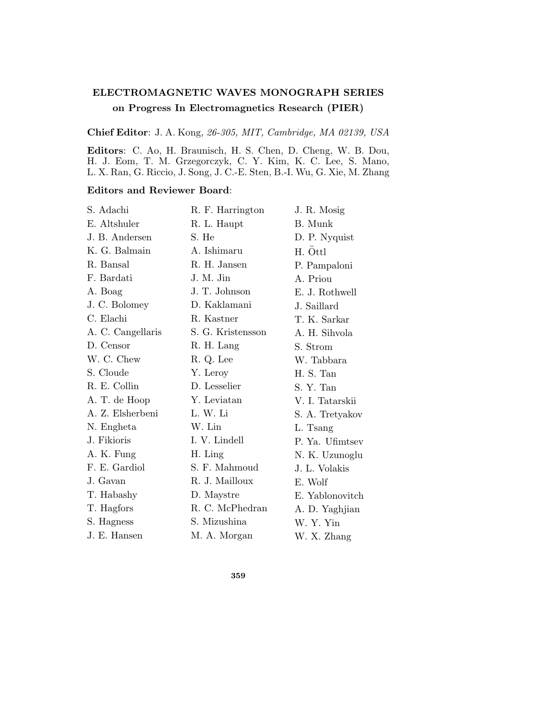## **ELECTROMAGNETIC WAVES MONOGRAPH SERIES on Progress In Electromagnetics Research (PIER)**

**Chief Editor**: J. A. Kong, 26-305, MIT, Cambridge, MA 02139, USA

**Editors**: C. Ao, H. Braunisch, H. S. Chen, D. Cheng, W. B. Dou, H. J. Eom, T. M. Grzegorczyk, C. Y. Kim, K. C. Lee, S. Mano, L. X. Ran, G. Riccio, J. Song, J. C.-E. Sten, B.-I. Wu, G. Xie, M. Zhang

## **Editors and Reviewer Board**:

| S. Adachi         | R. F. Harrington  | J. R. Mosig     |
|-------------------|-------------------|-----------------|
| E. Altshuler      | R. L. Haupt       | <b>B.</b> Munk  |
| J. B. Andersen    | S. He             | D. P. Nyquist   |
| K. G. Balmain     | A. Ishimaru       | H. Öttl         |
| R. Bansal         | R. H. Jansen      | P. Pampaloni    |
| F. Bardati        | J. M. Jin         | A. Priou        |
| A. Boag           | J. T. Johnson     | E. J. Rothwell  |
| J. C. Bolomey     | D. Kaklamani      | J. Saillard     |
| C. Elachi         | R. Kastner        | T. K. Sarkar    |
| A. C. Cangellaris | S. G. Kristensson | A. H. Sihvola   |
| D. Censor         | R. H. Lang        | S. Strom        |
| W. C. Chew        | R. Q. Lee         | W. Tabbara      |
| S. Cloude         | Y. Leroy          | H. S. Tan       |
| R. E. Collin      | D. Lesselier      | S. Y. Tan       |
| A. T. de Hoop     | Y. Leviatan       | V. I. Tatarskii |
| A. Z. Elsherbeni  | L. W. Li          | S. A. Tretyakov |
| N. Engheta        | W. Lin            | L. Tsang        |
| J. Fikioris       | I. V. Lindell     | P. Ya. Ufimtsev |
| A. K. Fung        | H. Ling           | N. K. Uzunoglu  |
| F. E. Gardiol     | S. F. Mahmoud     | J. L. Volakis   |
| J. Gavan          | R. J. Mailloux    | E. Wolf         |
| T. Habashy        | D. Maystre        | E. Yablonovitch |
| T. Hagfors        | R. C. McPhedran   | A. D. Yaghjian  |
| S. Hagness        | S. Mizushina      | W. Y. Yin       |
| J. E. Hansen      | M. A. Morgan      | W. X. Zhang     |

**359**